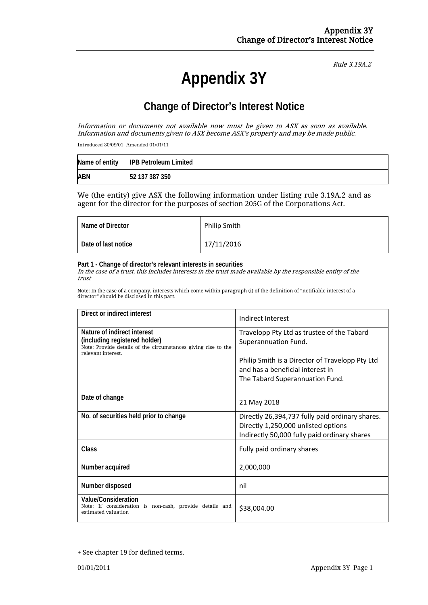# **Appendix 3Y**

Rule 3.19A.2

## **Change of Director's Interest Notice**

Information or documents not available now must be given to ASX as soon as available. Information and documents given to ASX become ASX's property and may be made public.

Introduced 30/09/01 Amended 01/01/11

|            | Name of entity IPB Petroleum Limited |
|------------|--------------------------------------|
| <b>ABN</b> | 52 137 387 350                       |

We (the entity) give ASX the following information under listing rule 3.19A.2 and as agent for the director for the purposes of section 205G of the Corporations Act.

| Name of Director    | <b>Philip Smith</b> |
|---------------------|---------------------|
| Date of last notice | 17/11/2016          |

#### **Part 1 - Change of director's relevant interests in securities**

In the case of a trust, this includes interests in the trust made available by the responsible entity of the trust

Note: In the case of a company, interests which come within paragraph (i) of the definition of "notifiable interest of a director" should be disclosed in this part.

| Direct or indirect interest                                                                                          | Indirect Interest                               |  |
|----------------------------------------------------------------------------------------------------------------------|-------------------------------------------------|--|
| Nature of indirect interest                                                                                          | Travelopp Pty Ltd as trustee of the Tabard      |  |
| (including registered holder)<br>Note: Provide details of the circumstances giving rise to the<br>relevant interest. | Superannuation Fund.                            |  |
|                                                                                                                      | Philip Smith is a Director of Travelopp Pty Ltd |  |
|                                                                                                                      | and has a beneficial interest in                |  |
|                                                                                                                      | The Tabard Superannuation Fund.                 |  |
|                                                                                                                      |                                                 |  |
| Date of change                                                                                                       | 21 May 2018                                     |  |
| No. of securities held prior to change                                                                               | Directly 26,394,737 fully paid ordinary shares. |  |
|                                                                                                                      | Directly 1,250,000 unlisted options             |  |
|                                                                                                                      | Indirectly 50,000 fully paid ordinary shares    |  |
| <b>Class</b>                                                                                                         | Fully paid ordinary shares                      |  |
| Number acquired                                                                                                      | 2,000,000                                       |  |
| Number disposed                                                                                                      | nil                                             |  |
| <b>Value/Consideration</b><br>Note: If consideration is non-cash, provide details and<br>estimated valuation         | \$38,004.00                                     |  |

<sup>+</sup> See chapter 19 for defined terms.